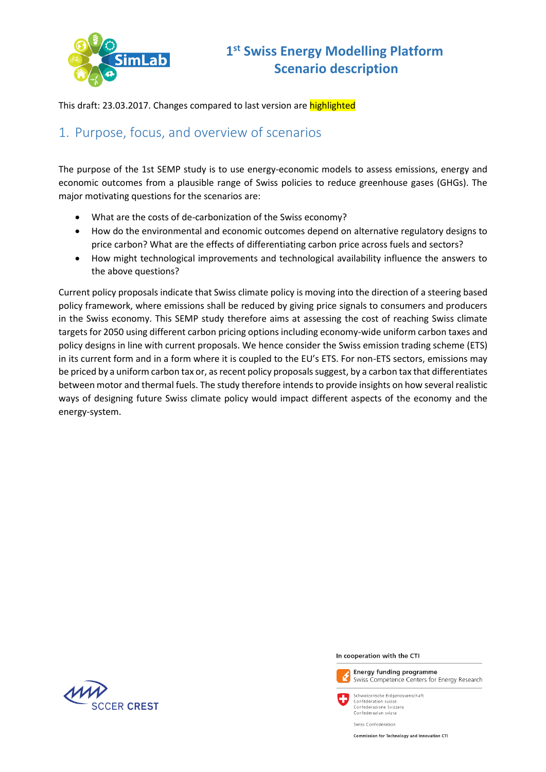

This draft: 23.03.2017. Changes compared to last version are highlighted

## 1. Purpose, focus, and overview of scenarios

The purpose of the 1st SEMP study is to use energy-economic models to assess emissions, energy and economic outcomes from a plausible range of Swiss policies to reduce greenhouse gases (GHGs). The major motivating questions for the scenarios are:

- What are the costs of de-carbonization of the Swiss economy?
- How do the environmental and economic outcomes depend on alternative regulatory designs to price carbon? What are the effects of differentiating carbon price across fuels and sectors?
- How might technological improvements and technological availability influence the answers to the above questions?

Current policy proposals indicate that Swiss climate policy is moving into the direction of a steering based policy framework, where emissions shall be reduced by giving price signals to consumers and producers in the Swiss economy. This SEMP study therefore aims at assessing the cost of reaching Swiss climate targets for 2050 using different carbon pricing options including economy-wide uniform carbon taxes and policy designs in line with current proposals. We hence consider the Swiss emission trading scheme (ETS) in its current form and in a form where it is coupled to the EU's ETS. For non-ETS sectors, emissions may be priced by a uniform carbon tax or, as recent policy proposals suggest, by a carbon tax that differentiates between motor and thermal fuels. The study therefore intends to provide insights on how several realistic ways of designing future Swiss climate policy would impact different aspects of the economy and the energy-system.



In cooperation with the CTI



Energy funding programme Swiss Competence Centers for Energy Research

Schweizerische Eidgenossenschaft Confédération suiss Confederation suisse<br>Confederazione Svizzera<br>Confederaziun svizra

Swiss Confederation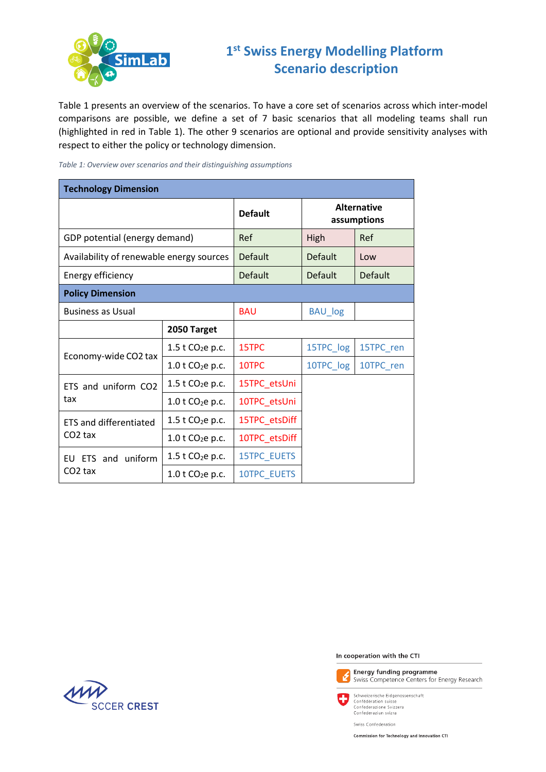

[Table 1](#page-1-0) presents an overview of the scenarios. To have a core set of scenarios across which inter-model comparisons are possible, we define a set of 7 basic scenarios that all modeling teams shall run (highlighted in red in Table 1). The other 9 scenarios are optional and provide sensitivity analyses with respect to either the policy or technology dimension.

<span id="page-1-0"></span>

| Table 1: Overview over scenarios and their distinguishing assumptions |  |
|-----------------------------------------------------------------------|--|
|-----------------------------------------------------------------------|--|

| <b>Technology Dimension</b>              |                                |                |                                   |                |  |  |  |
|------------------------------------------|--------------------------------|----------------|-----------------------------------|----------------|--|--|--|
|                                          |                                | <b>Default</b> | <b>Alternative</b><br>assumptions |                |  |  |  |
| GDP potential (energy demand)            |                                | Ref            | High                              | Ref            |  |  |  |
| Availability of renewable energy sources |                                | Default        | <b>Default</b>                    | Low            |  |  |  |
| Energy efficiency                        |                                | <b>Default</b> | <b>Default</b>                    | <b>Default</b> |  |  |  |
| <b>Policy Dimension</b>                  |                                |                |                                   |                |  |  |  |
| <b>Business as Usual</b>                 |                                | <b>BAU</b>     | <b>BAU_log</b>                    |                |  |  |  |
|                                          | 2050 Target                    |                |                                   |                |  |  |  |
| Economy-wide CO2 tax                     | 1.5 t $CO2e$ p.c.              | 15TPC          | 15TPC_log                         | 15TPC_ren      |  |  |  |
|                                          | $1.0$ t CO <sub>2</sub> e p.c. | 10TPC          | 10TPC_log                         | 10TPC_ren      |  |  |  |
| ETS and uniform CO2                      | $1.5$ t CO <sub>2</sub> e p.c. | 15TPC_etsUni   |                                   |                |  |  |  |
| tax                                      | $1.0$ t CO <sub>2</sub> e p.c. | 10TPC_etsUni   |                                   |                |  |  |  |
| <b>ETS and differentiated</b>            | 1.5 t $CO2e$ p.c.              | 15TPC_etsDiff  |                                   |                |  |  |  |
| CO <sub>2</sub> tax                      | 1.0 t $CO2e$ p.c.              | 10TPC_etsDiff  |                                   |                |  |  |  |
| EU ETS and uniform                       | 1.5 t $CO2e$ p.c.              | 15TPC_EUETS    |                                   |                |  |  |  |
| CO <sub>2</sub> tax                      | 1.0 t $CO2e$ p.c.              | 10TPC_EUETS    |                                   |                |  |  |  |



In cooperation with the CTI



Energy funding programme Swiss Competence Centers for Energy Research

Schweizerische Eidgenossenschaft Schweizerische Engenos.<br>Confédération suisse<br>Confederazione Svizzera

Swiss Confederation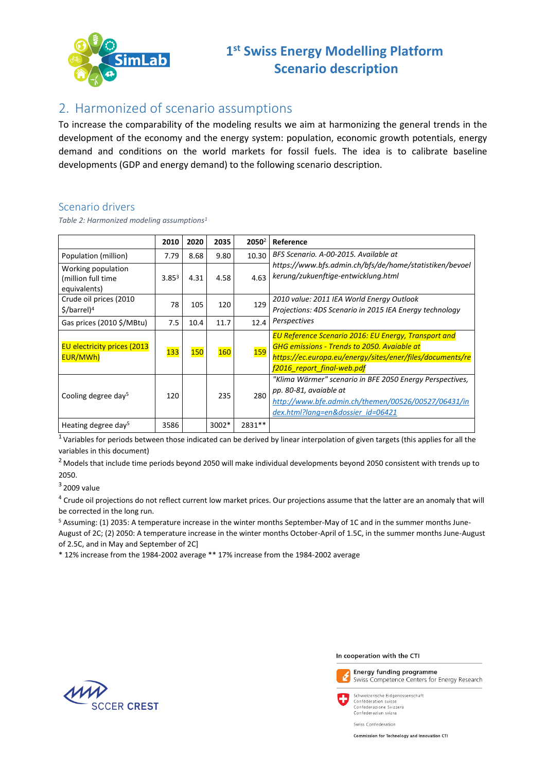

### 2. Harmonized of scenario assumptions

To increase the comparability of the modeling results we aim at harmonizing the general trends in the development of the economy and the energy system: population, economic growth potentials, energy demand and conditions on the world markets for fossil fuels. The idea is to calibrate baseline developments (GDP and energy demand) to the following scenario description.

#### Scenario drivers

*Table 2: Harmonized modeling assumptions<sup>1</sup>*

|                                                          | 2010              | 2020       | 2035       | 2050 <sup>2</sup> | Reference                                                                                                                                                                                                    |
|----------------------------------------------------------|-------------------|------------|------------|-------------------|--------------------------------------------------------------------------------------------------------------------------------------------------------------------------------------------------------------|
| Population (million)                                     | 7.79              | 8.68       | 9.80       | 10.30             | BFS Scenario. A-00-2015. Available at                                                                                                                                                                        |
| Working population<br>(million full time<br>equivalents) | 3.85 <sup>3</sup> | 4.31       | 4.58       | 4.63              | https://www.bfs.admin.ch/bfs/de/home/statistiken/bevoel<br>kerung/zukuenftige-entwicklung.html                                                                                                               |
| Crude oil prices (2010<br>\$/barrel) <sup>4</sup>        | 78                | 105        | 120        | 129               | 2010 value: 2011 IEA World Energy Outlook<br>Projections: 4DS Scenario in 2015 IEA Energy technology                                                                                                         |
| Gas prices (2010 \$/MBtu)                                | 7.5               | 10.4       | 11.7       | 12.4              | Perspectives                                                                                                                                                                                                 |
| <b>EU electricity prices (2013)</b><br><b>EUR/MWh)</b>   | <b>133</b>        | <b>150</b> | <b>160</b> | 159               | <b>EU Reference Scenario 2016: EU Energy, Transport and</b><br><b>GHG emissions - Trends to 2050. Avaiable at</b><br>https://ec.europa.eu/energy/sites/ener/files/documents/re<br>f2016 report final-web.pdf |
| Cooling degree day <sup>5</sup>                          | 120               |            | 235        | 280               | "Klima Wärmer" scenario in BFE 2050 Energy Perspectives,<br>pp. 80-81, avaiable at<br>http://www.bfe.admin.ch/themen/00526/00527/06431/in<br>dex.html?lang=en&dossier_id=06421                               |
| Heating degree day <sup>5</sup>                          | 3586              |            | $3002*$    | 2831**            |                                                                                                                                                                                                              |

 $1$ Variables for periods between those indicated can be derived by linear interpolation of given targets (this applies for all the variables in this document)

<sup>2</sup> Models that include time periods beyond 2050 will make individual developments beyond 2050 consistent with trends up to 2050.

#### $3$  2009 value

<sup>4</sup> Crude oil projections do not reflect current low market prices. Our projections assume that the latter are an anomaly that will be corrected in the long run.

<sup>5</sup> Assuming: (1) 2035: A temperature increase in the winter months September-May of 1C and in the summer months June-August of 2C; (2) 2050: A temperature increase in the winter months October-April of 1.5C, in the summer months June-August of 2.5C, and in May and September of 2C]

\* 12% increase from the 1984-2002 average \*\* 17% increase from the 1984-2002 average



In cooperation with the CTI



Energy funding programme Swiss Competence Centers for Energy Research

Schweizerische Eidgenossenschaft Confédération suiss Confederation suisse<br>Confederazione Svizzera<br>Confederaziun svizra

Swiss Confederation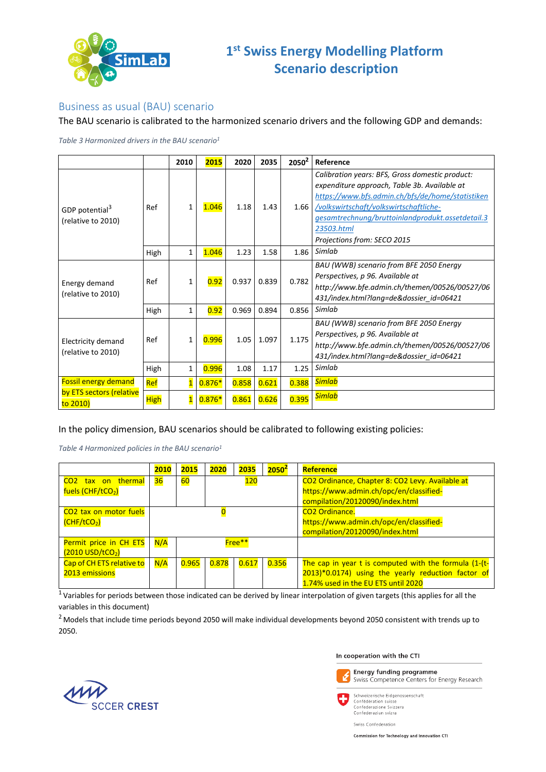

#### Business as usual (BAU) scenario

The BAU scenario is calibrated to the harmonized scenario drivers and the following GDP and demands:

<span id="page-3-0"></span>*Table 3 Harmonized drivers in the BAU scenario<sup>1</sup>*

|                                                  |             | 2010                    | 2015     | 2020  | 2035  | $2050^2$ | Reference                                                                                                                                                                                                                                                                                      |
|--------------------------------------------------|-------------|-------------------------|----------|-------|-------|----------|------------------------------------------------------------------------------------------------------------------------------------------------------------------------------------------------------------------------------------------------------------------------------------------------|
| GDP potential <sup>3</sup><br>(relative to 2010) | Ref         | $\mathbf{1}$            | 1.046    | 1.18  | 1.43  | 1.66     | Calibration years: BFS, Gross domestic product:<br>expenditure approach, Table 3b. Available at<br>https://www.bfs.admin.ch/bfs/de/home/statistiken<br>/volkswirtschaft/volkswirtschaftliche-<br>gesamtrechnung/bruttoinlandprodukt.assetdetail.3<br>23503.html<br>Projections from: SECO 2015 |
|                                                  | High        | $\mathbf{1}$            | 1.046    | 1.23  | 1.58  | 1.86     | Simlab                                                                                                                                                                                                                                                                                         |
| Energy demand<br>(relative to 2010)              | Ref         | $\mathbf{1}$            | 0.92     | 0.937 | 0.839 | 0.782    | BAU (WWB) scenario from BFE 2050 Energy<br>Perspectives, p 96. Available at<br>http://www.bfe.admin.ch/themen/00526/00527/06<br>431/index.html?lang=de&dossier_id=06421                                                                                                                        |
|                                                  | High        | $\mathbf{1}$            | 0.92     | 0.969 | 0.894 | 0.856    | Simlab                                                                                                                                                                                                                                                                                         |
| <b>Electricity demand</b><br>(relative to 2010)  | Ref         | $\mathbf{1}$            | 0.996    | 1.05  | 1.097 | 1.175    | BAU (WWB) scenario from BFE 2050 Energy<br>Perspectives, p 96. Available at<br>http://www.bfe.admin.ch/themen/00526/00527/06<br>431/index.html?lang=de&dossier_id=06421                                                                                                                        |
|                                                  | High        | $\mathbf{1}$            | 0.996    | 1.08  | 1.17  | 1.25     | Simlab                                                                                                                                                                                                                                                                                         |
| <b>Fossil energy demand</b>                      | Ref         | $\overline{\mathbf{1}}$ | $0.876*$ | 0.858 | 0.621 | 0.388    | <b>Simlab</b>                                                                                                                                                                                                                                                                                  |
| by ETS sectors (relative<br>to 2010              | <b>High</b> | $\overline{\mathbf{1}}$ | $0.876*$ | 0.861 | 0.626 | 0.395    | <b>Simlab</b>                                                                                                                                                                                                                                                                                  |

In the policy dimension, BAU scenarios should be calibrated to following existing policies:

*Table 4 Harmonized policies in the BAU scenario<sup>1</sup>*

|                                    | 2010 | 2015  | 2020  | 2035       | $2050^2$ | Reference                                             |
|------------------------------------|------|-------|-------|------------|----------|-------------------------------------------------------|
| CO <sub>2</sub> tax on thermal     | 36   | 60    |       | <b>120</b> |          | CO2 Ordinance, Chapter 8: CO2 Levy. Available at      |
| fuels (CHF/tCO <sub>2</sub> )      |      |       |       |            |          | https://www.admin.ch/opc/en/classified-               |
|                                    |      |       |       |            |          | compilation/20120090/index.html                       |
| CO <sub>2</sub> tax on motor fuels |      |       |       |            |          | CO <sub>2</sub> Ordinance.                            |
| (CHF/ tCO <sub>2</sub> )           |      |       |       |            |          | https://www.admin.ch/opc/en/classified-               |
|                                    |      |       |       |            |          | compilation/20120090/index.html                       |
| <b>Permit price in CH ETS</b>      | N/A  |       |       | Free**     |          |                                                       |
| $(2010$ USD/tCO <sub>2</sub> )     |      |       |       |            |          |                                                       |
| Cap of CH ETS relative to          | N/A  | 0.965 | 0.878 | 0.617      | 0.356    | The cap in year t is computed with the formula (1-(t- |
| 2013 emissions                     |      |       |       |            |          | 2013)*0.0174) using the yearly reduction factor of    |
|                                    |      |       |       |            |          | 1.74% used in the EU ETS until 2020                   |

 $1$ Variables for periods between those indicated can be derived by linear interpolation of given targets (this applies for all the variables in this document)

<sup>2</sup> Models that include time periods beyond 2050 will make individual developments beyond 2050 consistent with trends up to 2050.



In cooperation with the CTI



Confédération suisse<br>Confédération suisse<br>Confederazione Svizzera

Swiss Confederation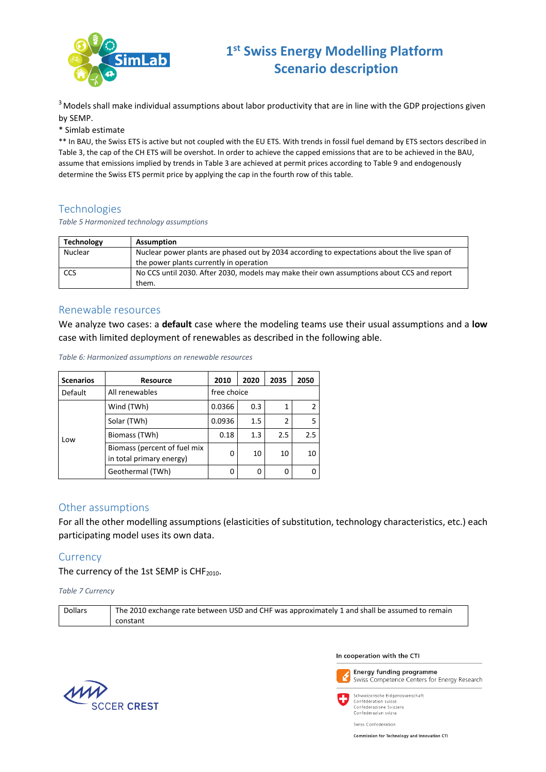

 $3$  Models shall make individual assumptions about labor productivity that are in line with the GDP projections given by SEMP.

\* Simlab estimate

\*\* In BAU, the Swiss ETS is active but not coupled with the EU ETS. With trends in fossil fuel demand by ETS sectors described in [Table 3,](#page-3-0) the cap of the CH ETS will be overshot. In order to achieve the capped emissions that are to be achieved in the BAU, assume that emissions implied by trends i[n Table 3](#page-3-0) are achieved at permit prices according t[o Table 9](#page-6-0) and endogenously determine the Swiss ETS permit price by applying the cap in the fourth row of this table.

#### **Technologies**

*Table 5 Harmonized technology assumptions*

| <b>Technology</b> | <b>Assumption</b>                                                                            |
|-------------------|----------------------------------------------------------------------------------------------|
| Nuclear           | Nuclear power plants are phased out by 2034 according to expectations about the live span of |
|                   | the power plants currently in operation                                                      |
| <b>CCS</b>        | No CCS until 2030. After 2030, models may make their own assumptions about CCS and report    |
|                   | them.                                                                                        |

#### Renewable resources

We analyze two cases: a **default** case where the modeling teams use their usual assumptions and a **low** case with limited deployment of renewables as described in the following able.

*Table 6: Harmonized assumptions on renewable resources*

| <b>Scenarios</b> | <b>Resource</b>                                          | 2010        | 2020 | 2035 | 2050 |
|------------------|----------------------------------------------------------|-------------|------|------|------|
| Default          | All renewables                                           | free choice |      |      |      |
|                  | Wind (TWh)                                               | 0.0366      | 0.3  |      |      |
| Low              | Solar (TWh)                                              | 0.0936      | 1.5  | 2    | 5    |
|                  | Biomass (TWh)                                            | 0.18        | 1.3  | 2.5  | 2.5  |
|                  | Biomass (percent of fuel mix<br>in total primary energy) |             |      | 10   | 10   |
|                  | Geothermal (TWh)                                         | 0           |      |      |      |

#### Other assumptions

For all the other modelling assumptions (elasticities of substitution, technology characteristics, etc.) each participating model uses its own data.

#### **Currency**

The currency of the 1st SEMP is CHF<sub>2010</sub>.

*Table 7 Currency*

| <b>Dollars</b> | The 2010 exchange rate between USD and CHF was approximately 1 and shall be assumed to remain |
|----------------|-----------------------------------------------------------------------------------------------|
|                | constant                                                                                      |



In cooperation with the CTI



Swiss Confederation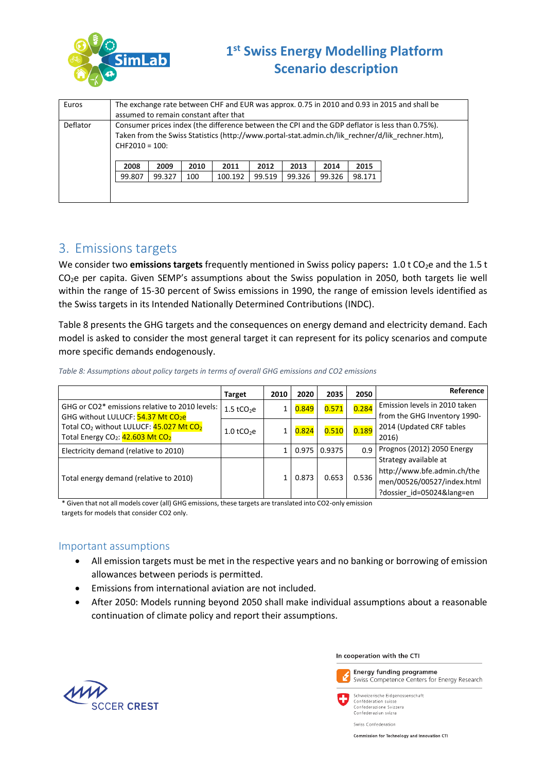

| Euros    | The exchange rate between CHF and EUR was approx. 0.75 in 2010 and 0.93 in 2015 and shall be<br>assumed to remain constant after that                                                                                   |        |      |         |        |        |        |        |  |  |
|----------|-------------------------------------------------------------------------------------------------------------------------------------------------------------------------------------------------------------------------|--------|------|---------|--------|--------|--------|--------|--|--|
| Deflator | Consumer prices index (the difference between the CPI and the GDP deflator is less than 0.75%).<br>Taken from the Swiss Statistics (http://www.portal-stat.admin.ch/lik rechner/d/lik rechner.htm),<br>$CHF2010 = 100:$ |        |      |         |        |        |        |        |  |  |
|          | 2008                                                                                                                                                                                                                    | 2009   | 2010 | 2011    | 2012   | 2013   | 2014   | 2015   |  |  |
|          | 99.807                                                                                                                                                                                                                  | 99.327 | 100  | 100.192 | 99.519 | 99.326 | 99.326 | 98.171 |  |  |
|          |                                                                                                                                                                                                                         |        |      |         |        |        |        |        |  |  |

### 3. Emissions targets

We consider two **emissions targets** frequently mentioned in Swiss policy papers: 1.0 t CO<sub>2</sub>e and the 1.5 t CO<sub>2</sub>e per capita. Given SEMP's assumptions about the Swiss population in 2050, both targets lie well within the range of 15-30 percent of Swiss emissions in 1990, the range of emission levels identified as the Swiss targets in its Intended Nationally Determined Contributions (INDC).

[Table 8](#page-5-0) presents the GHG targets and the consequences on energy demand and electricity demand. Each model is asked to consider the most general target it can represent for its policy scenarios and compute more specific demands endogenously.

<span id="page-5-0"></span>*Table 8: Assumptions about policy targets in terms of overall GHG emissions and CO2 emissions*

|                                                                                                                             | Target                   | 2010 | 2020  | 2035   | 2050  | Reference                                                                                                   |  |
|-----------------------------------------------------------------------------------------------------------------------------|--------------------------|------|-------|--------|-------|-------------------------------------------------------------------------------------------------------------|--|
| GHG or CO2 <sup>*</sup> emissions relative to 2010 levels:<br>GHG without LULUCF: 54.37 Mt CO <sub>2</sub> e                | $1.5$ tCO <sub>2</sub> e |      | 0.849 | 0.571  | 0.284 | Emission levels in 2010 taken<br>from the GHG Inventory 1990-                                               |  |
| Total CO <sub>2</sub> without LULUCF: 45.027 Mt CO <sub>2</sub><br>Total Energy CO <sub>2</sub> : 42.603 Mt CO <sub>2</sub> | $1.0$ tCO <sub>2</sub> e |      | 0.824 | 0.510  | 0.189 | 2014 (Updated CRF tables<br>2016)                                                                           |  |
| Electricity demand (relative to 2010)                                                                                       |                          |      | 0.975 | 0.9375 | 0.9   | Prognos (2012) 2050 Energy                                                                                  |  |
| Total energy demand (relative to 2010)                                                                                      |                          |      | 0.873 | 0.653  | 0.536 | Strategy available at<br>http://www.bfe.admin.ch/the<br>men/00526/00527/index.html<br>?dossier id=05024⟨=en |  |

\* Given that not all models cover (all) GHG emissions, these targets are translated into CO2-only emission targets for models that consider CO2 only.

#### Important assumptions

- All emission targets must be met in the respective years and no banking or borrowing of emission allowances between periods is permitted.
- Emissions from international aviation are not included.
- After 2050: Models running beyond 2050 shall make individual assumptions about a reasonable continuation of climate policy and report their assumptions.





Swiss Confederation

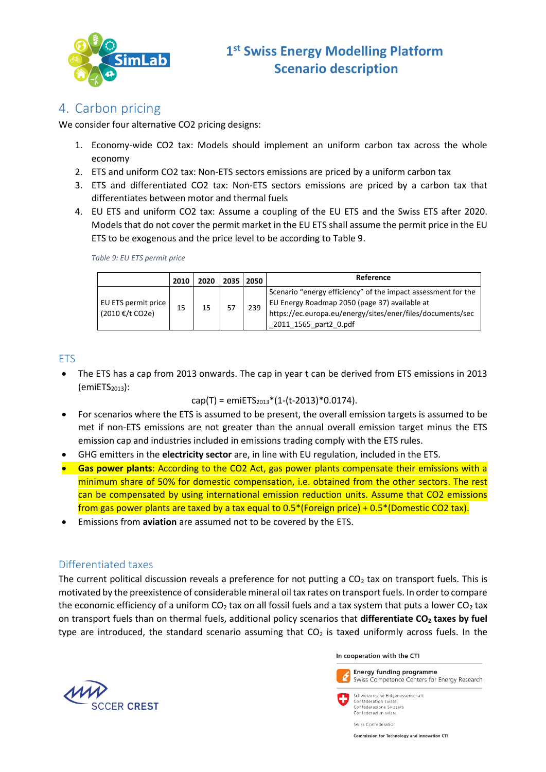

### 4. Carbon pricing

We consider four alternative CO2 pricing designs:

- 1. Economy-wide CO2 tax: Models should implement an uniform carbon tax across the whole economy
- 2. ETS and uniform CO2 tax: Non-ETS sectors emissions are priced by a uniform carbon tax
- 3. ETS and differentiated CO2 tax: Non-ETS sectors emissions are priced by a carbon tax that differentiates between motor and thermal fuels
- 4. EU ETS and uniform CO2 tax: Assume a coupling of the EU ETS and the Swiss ETS after 2020. Models that do not cover the permit market in the EU ETS shall assume the permit price in the EU ETS to be exogenous and the price level to be according to [Table 9.](#page-6-0)

<span id="page-6-0"></span>*Table 9: EU ETS permit price*

|                                        | 2010 | 2020 | 2035 2050 | Reference                                                                                                                                                                                             |
|----------------------------------------|------|------|-----------|-------------------------------------------------------------------------------------------------------------------------------------------------------------------------------------------------------|
| EU ETS permit price<br>(2010 €/t CO2e) | 15   | 15   | 239       | Scenario "energy efficiency" of the impact assessment for the<br>EU Energy Roadmap 2050 (page 37) available at<br>https://ec.europa.eu/energy/sites/ener/files/documents/sec<br>2011 1565 part2 0.pdf |

#### ETS

 The ETS has a cap from 2013 onwards. The cap in year t can be derived from ETS emissions in 2013  $(emiETS<sub>2013</sub>):$ 

 $cap(T) = emiETS<sub>2013</sub><sup>*</sup>(1-(t-2013)<sup>*</sup>0.0174).$ 

- For scenarios where the ETS is assumed to be present, the overall emission targets is assumed to be met if non-ETS emissions are not greater than the annual overall emission target minus the ETS emission cap and industries included in emissions trading comply with the ETS rules.
- GHG emitters in the **electricity sector** are, in line with EU regulation, included in the ETS.
- **Gas power plants**: According to the CO2 Act, gas power plants compensate their emissions with a minimum share of 50% for domestic compensation, i.e. obtained from the other sectors. The rest can be compensated by using international emission reduction units. Assume that CO2 emissions from gas power plants are taxed by a tax equal to 0.5\*(Foreign price) + 0.5\*(Domestic CO2 tax).
- Emissions from **aviation** are assumed not to be covered by the ETS.

### Differentiated taxes

The current political discussion reveals a preference for not putting a  $CO<sub>2</sub>$  tax on transport fuels. This is motivated by the preexistence of considerable mineral oil tax rates on transport fuels. In order to compare the economic efficiency of a uniform  $CO<sub>2</sub>$  tax on all fossil fuels and a tax system that puts a lower  $CO<sub>2</sub>$  tax on transport fuels than on thermal fuels, additional policy scenarios that **differentiate CO<sup>2</sup> taxes by fuel** type are introduced, the standard scenario assuming that  $CO<sub>2</sub>$  is taxed uniformly across fuels. In the



In cooperation with the CTI